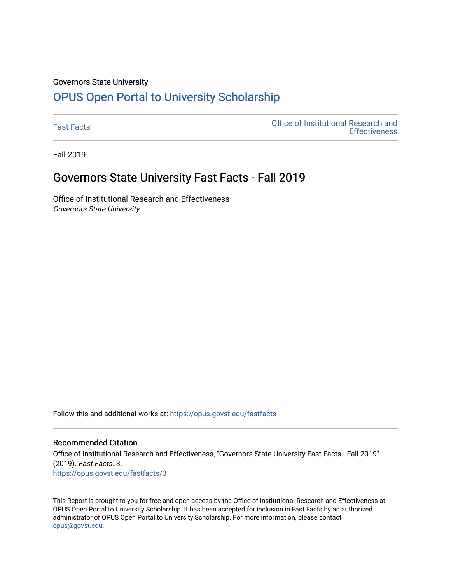#### Governors State University

# [OPUS Open Portal to University Scholarship](https://opus.govst.edu/)

[Fast Facts](https://opus.govst.edu/fastfacts) [Office of Institutional Research and](https://opus.govst.edu/ir)  **Effectiveness** 

Fall 2019

### Governors State University Fast Facts - Fall 2019

Office of Institutional Research and Effectiveness Governors State University

Follow this and additional works at: [https://opus.govst.edu/fastfacts](https://opus.govst.edu/fastfacts?utm_source=opus.govst.edu%2Ffastfacts%2F3&utm_medium=PDF&utm_campaign=PDFCoverPages)

### Recommended Citation

Office of Institutional Research and Effectiveness, "Governors State University Fast Facts - Fall 2019" (2019). Fast Facts. 3. [https://opus.govst.edu/fastfacts/3](https://opus.govst.edu/fastfacts/3?utm_source=opus.govst.edu%2Ffastfacts%2F3&utm_medium=PDF&utm_campaign=PDFCoverPages)

This Report is brought to you for free and open access by the Office of Institutional Research and Effectiveness at OPUS Open Portal to University Scholarship. It has been accepted for inclusion in Fast Facts by an authorized administrator of OPUS Open Portal to University Scholarship. For more information, please contact [opus@govst.edu](mailto:opus@govst.edu).